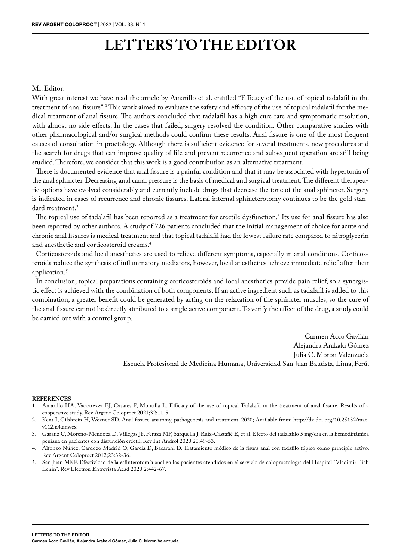## **LETTERS TO THE EDITOR**

## Mr. Editor:

With great interest we have read the article by Amarillo et al. entitled "Efficacy of the use of topical tadalafil in the treatment of anal fissure".<sup>1</sup>This work aimed to evaluate the safety and efficacy of the use of topical tadalafil for the medical treatment of anal fissure. The authors concluded that tadalafil has a high cure rate and symptomatic resolution, with almost no side effects. In the cases that failed, surgery resolved the condition. Other comparative studies with other pharmacological and/or surgical methods could confirm these results. Anal fissure is one of the most frequent causes of consultation in proctology. Although there is sufficient evidence for several treatments, new procedures and the search for drugs that can improve quality of life and prevent recurrence and subsequent operation are still being studied. Therefore, we consider that this work is a good contribution as an alternative treatment.

There is documented evidence that anal fissure is a painful condition and that it may be associated with hypertonia of the anal sphincter. Decreasing anal canal pressure is the basis of medical and surgical treatment. The different therapeutic options have evolved considerably and currently include drugs that decrease the tone of the anal sphincter. Surgery is indicated in cases of recurrence and chronic fissures. Lateral internal sphincterotomy continues to be the gold standard treatment.<sup>2</sup>

The topical use of tadalafil has been reported as a treatment for erectile dysfunction.<sup>3</sup> Its use for anal fissure has also been reported by other authors. A study of 726 patients concluded that the initial management of choice for acute and chronic anal fissures is medical treatment and that topical tadalafil had the lowest failure rate compared to nitroglycerin and anesthetic and corticosteroid creams.4

Corticosteroids and local anesthetics are used to relieve different symptoms, especially in anal conditions. Corticosteroids reduce the synthesis of inflammatory mediators, however, local anesthetics achieve immediate relief after their application.5

In conclusion, topical preparations containing corticosteroids and local anesthetics provide pain relief, so a synergistic effect is achieved with the combination of both components. If an active ingredient such as tadalafil is added to this combination, a greater benefit could be generated by acting on the relaxation of the sphincter muscles, so the cure of the anal fissure cannot be directly attributed to a single active component. To verify the effect of the drug, a study could be carried out with a control group.

> Carmen Acco Gavilán Alejandra Arakaki Gómez Julia C. Moron Valenzuela Escuela Profesional de Medicina Humana, Universidad San Juan Bautista, Lima, Perú.

## **REFERENCES**

<sup>1.</sup> Amarillo HA, Vaccarezza EJ, Casares P, Montilla L. Efficacy of the use of topical Tadalafil in the treatment of anal fissure. Results of a cooperative study. Rev Argent Coloproct 2021;32:11-5.

<sup>2.</sup> Kent I, Gilshtein H, Wexner SD. Anal fissure-anatomy, pathogenesis and treatment. 2020; Available from: http://dx.doi.org/10.25132/raac. v112.n4.anwex

<sup>3.</sup> Gasanz C, Moreno-Mendoza D, Villegas JF, Peraza MF, Sarquella J, Ruiz-Castañé E, et al. Efecto del tadalafilo 5 mg/día en la hemodinámica peniana en pacientes con disfunción eréctil. Rev Int Androl 2020;20:49-53.

<sup>4.</sup> Alfonzo Núñez, Cardozo Madrid O, García D, Bacarani D. Tratamiento médico de la fisura anal con tadafilo tópico como principio activo. Rev Argent Coloproct 2012;23:32-36.

<sup>5.</sup> San Juan MKF. Efectividad de la esfinterotomía anal en los pacientes atendidos en el servicio de coloproctología del Hospital "Vladimir Ilich Lenin". Rev Electron Entrevista Acad 2020:2:442-67.